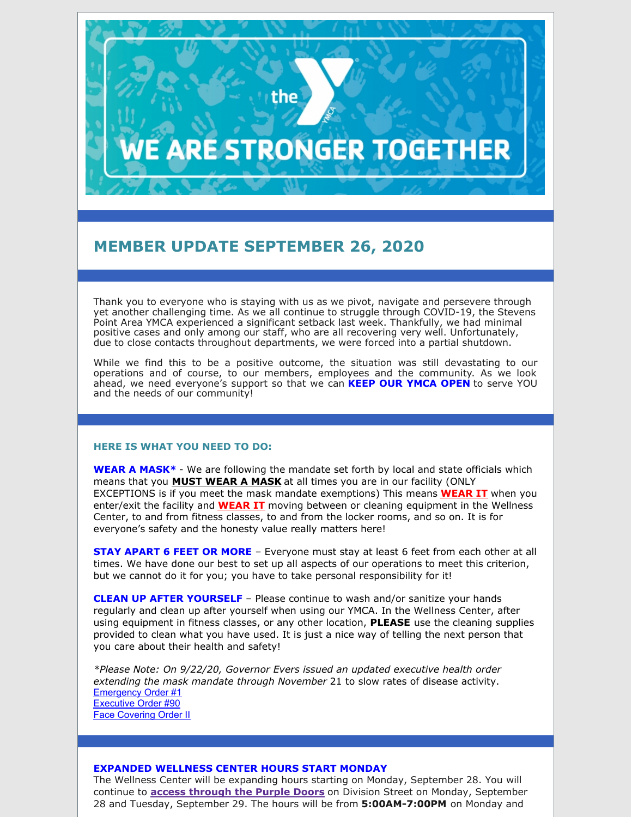# **E ARE STRONGER TOGETHER**

the

# **MEMBER UPDATE SEPTEMBER 26, 2020**

Thank you to everyone who is staying with us as we pivot, navigate and persevere through yet another challenging time. As we all continue to struggle through COVID-19, the Stevens Point Area YMCA experienced a significant setback last week. Thankfully, we had minimal positive cases and only among our staff, who are all recovering very well. Unfortunately, due to close contacts throughout departments, we were forced into a partial shutdown.

While we find this to be a positive outcome, the situation was still devastating to our operations and of course, to our members, employees and the community. As we look ahead, we need everyone's support so that we can **KEEP OUR YMCA OPEN** to serve YOU and the needs of our community!

#### **HERE IS WHAT YOU NEED TO DO:**

**WEAR A MASK\*** - We are following the mandate set forth by local and state officials which means that you **MUST WEAR A MASK** at all times you are in our facility (ONLY EXCEPTIONS is if you meet the mask mandate exemptions) This means **WEAR IT** when you enter/exit the facility and **WEAR IT** moving between or cleaning equipment in the Wellness Center, to and from fitness classes, to and from the locker rooms, and so on. It is for everyone's safety and the honesty value really matters here!

**STAY APART 6 FEET OR MORE** – Everyone must stay at least 6 feet from each other at all times. We have done our best to set up all aspects of our operations to meet this criterion, but we cannot do it for you; you have to take personal responsibility for it!

**CLEAN UP AFTER YOURSELF** – Please continue to wash and/or sanitize your hands regularly and clean up after yourself when using our YMCA. In the Wellness Center, after using equipment in fitness classes, or any other location, **PLEASE** use the cleaning supplies provided to clean what you have used. It is just a nice way of telling the next person that you care about their health and safety!

*\*Please Note: On 9/22/20, Governor Evers issued an updated executive health order extending the mask mandate through November* 21 to slow rates of disease activity. [Emergency](https://files.constantcontact.com/6b1f336d001/2916cac9-8533-4553-aebd-1fced6531be3.pdf) Order #1 [Executive](https://files.constantcontact.com/6b1f336d001/9df7b244-0c97-42b6-a848-ed2519ab6dba.pdf) Order #90 Face [Covering](https://files.constantcontact.com/6b1f336d001/73930fbb-b8dd-4069-b909-86d26f0f0b16.pdf) Order II

#### **EXPANDED WELLNESS CENTER HOURS START MONDAY**

The Wellness Center will be expanding hours starting on Monday, September 28. You will continue to **access through the Purple Doors** on Division Street on Monday, September 28 and Tuesday, September 29. The hours will be from **5:00AM-7:00PM** on Monday and